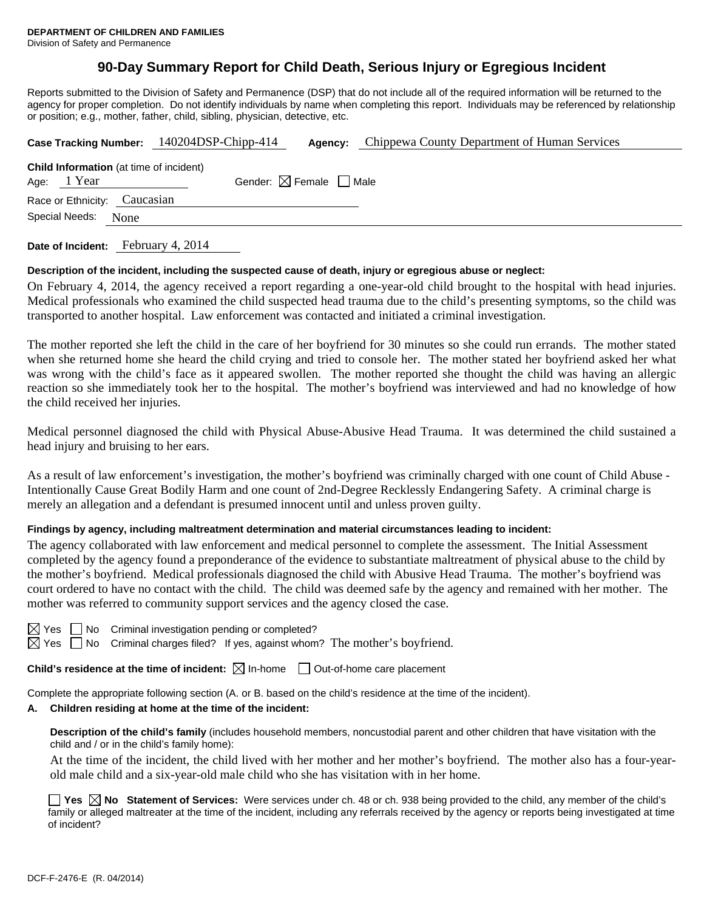# **90-Day Summary Report for Child Death, Serious Injury or Egregious Incident**

Reports submitted to the Division of Safety and Permanence (DSP) that do not include all of the required information will be returned to the agency for proper completion. Do not identify individuals by name when completing this report. Individuals may be referenced by relationship or position; e.g., mother, father, child, sibling, physician, detective, etc.

|                                                                                                         | Case Tracking Number: 140204DSP-Chipp-414 |  | <b>Agency:</b> Chippewa County Department of Human Services |  |  |  |  |
|---------------------------------------------------------------------------------------------------------|-------------------------------------------|--|-------------------------------------------------------------|--|--|--|--|
| <b>Child Information</b> (at time of incident)<br>Gender: $\boxtimes$ Female $\Box$ Male<br>Age: 1 Year |                                           |  |                                                             |  |  |  |  |
| Race or Ethnicity: Caucasian                                                                            |                                           |  |                                                             |  |  |  |  |
| Special Needs:<br>None                                                                                  |                                           |  |                                                             |  |  |  |  |
|                                                                                                         |                                           |  |                                                             |  |  |  |  |

**Date of Incident:** February 4, 2014

#### **Description of the incident, including the suspected cause of death, injury or egregious abuse or neglect:**

On February 4, 2014, the agency received a report regarding a one-year-old child brought to the hospital with head injuries. Medical professionals who examined the child suspected head trauma due to the child's presenting symptoms, so the child was transported to another hospital. Law enforcement was contacted and initiated a criminal investigation.

The mother reported she left the child in the care of her boyfriend for 30 minutes so she could run errands. The mother stated when she returned home she heard the child crying and tried to console her. The mother stated her boyfriend asked her what was wrong with the child's face as it appeared swollen. The mother reported she thought the child was having an allergic reaction so she immediately took her to the hospital. The mother's boyfriend was interviewed and had no knowledge of how the child received her injuries.

Medical personnel diagnosed the child with Physical Abuse-Abusive Head Trauma. It was determined the child sustained a head injury and bruising to her ears.

As a result of law enforcement's investigation, the mother's boyfriend was criminally charged with one count of Child Abuse - Intentionally Cause Great Bodily Harm and one count of 2nd-Degree Recklessly Endangering Safety. A criminal charge is merely an allegation and a defendant is presumed innocent until and unless proven guilty.

### **Findings by agency, including maltreatment determination and material circumstances leading to incident:**

The agency collaborated with law enforcement and medical personnel to complete the assessment. The Initial Assessment completed by the agency found a preponderance of the evidence to substantiate maltreatment of physical abuse to the child by the mother's boyfriend. Medical professionals diagnosed the child with Abusive Head Trauma. The mother's boyfriend was court ordered to have no contact with the child. The child was deemed safe by the agency and remained with her mother. The mother was referred to community support services and the agency closed the case.

 $\Box$  No Criminal investigation pending or completed?

Yes  $\Box$  No Criminal charges filed? If yes, against whom? The mother's boyfriend.

**Child's residence at the time of incident:**  $\boxtimes$  In-home  $\Box$  Out-of-home care placement

Complete the appropriate following section (A. or B. based on the child's residence at the time of the incident).

#### **A. Children residing at home at the time of the incident:**

**Description of the child's family** (includes household members, noncustodial parent and other children that have visitation with the child and / or in the child's family home):

 At the time of the incident, the child lived with her mother and her mother's boyfriend. The mother also has a four-yearold male child and a six-year-old male child who she has visitation with in her home.

**Yes No Statement of Services:** Were services under ch. 48 or ch. 938 being provided to the child, any member of the child's family or alleged maltreater at the time of the incident, including any referrals received by the agency or reports being investigated at time of incident?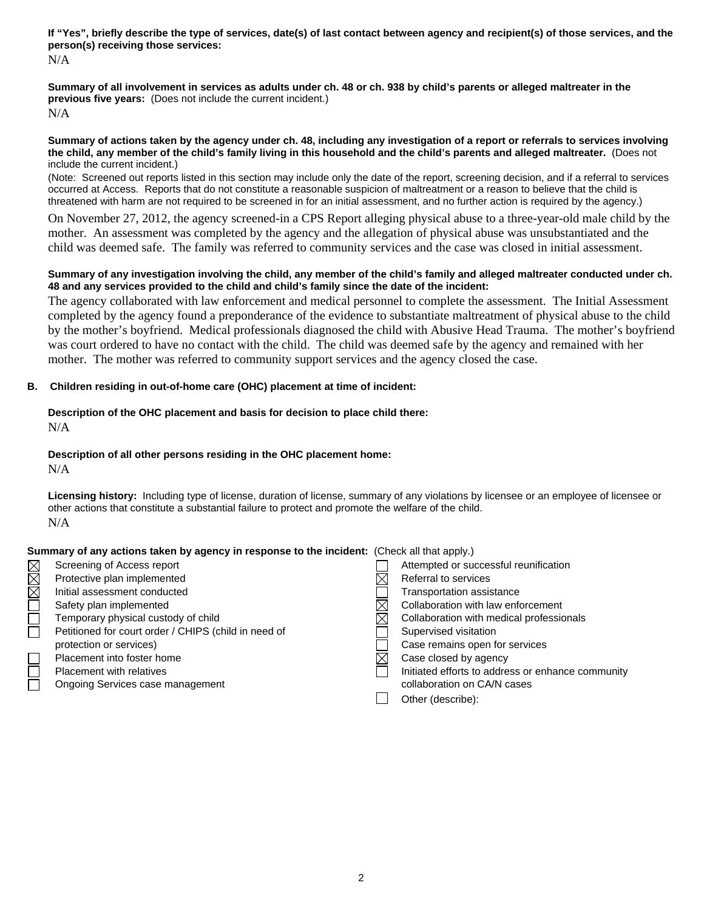**If "Yes", briefly describe the type of services, date(s) of last contact between agency and recipient(s) of those services, and the person(s) receiving those services:** 

N/A

**Summary of all involvement in services as adults under ch. 48 or ch. 938 by child's parents or alleged maltreater in the previous five years:** (Does not include the current incident.) N/A

**Summary of actions taken by the agency under ch. 48, including any investigation of a report or referrals to services involving the child, any member of the child's family living in this household and the child's parents and alleged maltreater.** (Does not include the current incident.)

(Note: Screened out reports listed in this section may include only the date of the report, screening decision, and if a referral to services occurred at Access. Reports that do not constitute a reasonable suspicion of maltreatment or a reason to believe that the child is threatened with harm are not required to be screened in for an initial assessment, and no further action is required by the agency.)

On November 27, 2012, the agency screened-in a CPS Report alleging physical abuse to a three-year-old male child by the mother. An assessment was completed by the agency and the allegation of physical abuse was unsubstantiated and the child was deemed safe. The family was referred to community services and the case was closed in initial assessment.

## **Summary of any investigation involving the child, any member of the child's family and alleged maltreater conducted under ch. 48 and any services provided to the child and child's family since the date of the incident:**

The agency collaborated with law enforcement and medical personnel to complete the assessment. The Initial Assessment completed by the agency found a preponderance of the evidence to substantiate maltreatment of physical abuse to the child by the mother's boyfriend. Medical professionals diagnosed the child with Abusive Head Trauma. The mother's boyfriend was court ordered to have no contact with the child. The child was deemed safe by the agency and remained with her mother. The mother was referred to community support services and the agency closed the case.

## **B. Children residing in out-of-home care (OHC) placement at time of incident:**

### **Description of the OHC placement and basis for decision to place child there:** N/A

# **Description of all other persons residing in the OHC placement home:**

N/A

**Licensing history:** Including type of license, duration of license, summary of any violations by licensee or an employee of licensee or other actions that constitute a substantial failure to protect and promote the welfare of the child. N/A

## **Summary of any actions taken by agency in response to the incident:** (Check all that apply.)

| $\boxtimes$ | Screening of Access report                           | Attempted or successful reunification             |
|-------------|------------------------------------------------------|---------------------------------------------------|
| X           | Protective plan implemented                          | Referral to services                              |
|             | Initial assessment conducted                         | <b>Transportation assistance</b>                  |
|             | Safety plan implemented                              | Collaboration with law enforcement                |
|             | Temporary physical custody of child                  | Collaboration with medical professionals          |
|             | Petitioned for court order / CHIPS (child in need of | Supervised visitation                             |
|             | protection or services)                              | Case remains open for services                    |
|             | Placement into foster home                           | Case closed by agency                             |
|             | <b>Placement with relatives</b>                      | Initiated efforts to address or enhance community |
|             | Ongoing Services case management                     | collaboration on CA/N cases                       |
|             |                                                      | Other (describe):                                 |